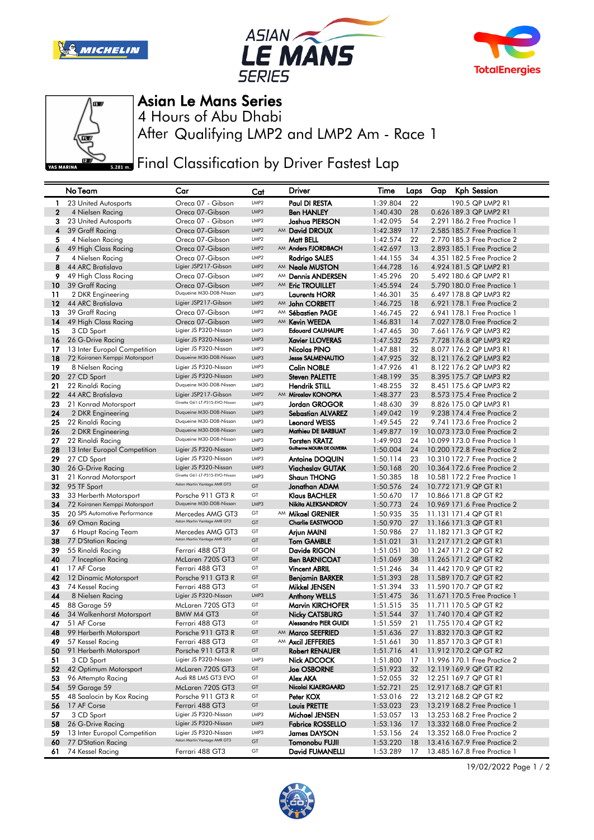







## Asian Le Mans Series

After Qualifying LMP2 and LMP2 Am - Race 1 4 Hours of Abu Dhabi

**Final Classification by Driver Fastest Lap** 

|              | No Team                           | Car                                                            | Cat              | <b>Driver</b>                                | Time                 | Laps     | Gap | <b>Kph Session</b>                             |
|--------------|-----------------------------------|----------------------------------------------------------------|------------------|----------------------------------------------|----------------------|----------|-----|------------------------------------------------|
| -1           | 23 United Autosports              | Oreca 07 - Gibson                                              | LMP2             | Paul DI RESTA                                | 1:39.804             | 22       |     | 190.5 QP LMP2 R1                               |
| $\mathbf{2}$ | 4 Nielsen Racing                  | Oreca 07-Gibson                                                | LMP <sub>2</sub> | <b>Ben HANLEY</b>                            | 1:40.430             | 28       |     | 0.626 189.3 QP LMP2 R1                         |
| 3            | 23 United Autosports              | Oreca 07 - Gibson                                              | LMP <sub>2</sub> | Joshua PIERSON                               | 1:42.095             | 54       |     | 2.291 186.2 Free Practice 1                    |
| 4            | 39 Graff Racing                   | Oreca 07-Gibson                                                | LMP <sub>2</sub> | AM David DROUX                               | 1:42.389             | 17       |     | 2.585 185.7 Free Practice 1                    |
| 5            | 4 Nielsen Racing                  | Oreca 07-Gibson                                                | LMP <sub>2</sub> | Matt BELL                                    | 1:42.574             | 22       |     | 2,770 185,3 Free Practice 2                    |
| 6            | 49 High Class Racing              | Oreca 07-Gibson                                                | LMP <sub>2</sub> | AM Anders FJORDBACH                          | 1:42.697             | 13       |     | 2.893 185.1 Free Practice 2                    |
| 7            | 4 Nielsen Racing                  | Oreca 07-Gibson                                                | LMP <sub>2</sub> | Rodrigo SALES                                | 1:44.155             | 34       |     | 4,351 182,5 Free Practice 2                    |
| 8            | 44 ARC Bratislava                 | Ligier JSP217-Gibson                                           | LMP <sub>2</sub> | AM <b>Neale MUSTON</b>                       | 1:44.728             | 16       |     | 4.924 181.5 QP LMP2 R1                         |
| 9            | 49 High Class Racing              | Oreca 07-Gibson                                                | LMP <sub>2</sub> | AM Dennis ANDERSEN                           | 1:45.296             | 20       |     | 5.492 180.6 QP LMP2 R1                         |
| 10           | 39 Graff Racing                   | Oreca 07-Gibson                                                | LMP <sub>2</sub> | AM Eric TROUILLET                            | 1:45.594             | 24       |     | 5.790 180.0 Free Practice 1                    |
| 11           | 2 DKR Engineering                 | Duqueine M30-D08-Nissan                                        | LMP3             | <b>Laurents HORR</b>                         | 1:46.301             | 35       |     | 6.497 178.8 QP LMP3 R2                         |
| 12           | 44 ARC Bratislava                 | Ligier JSP217-Gibson                                           | LMP <sub>2</sub> | AM John CORBETT                              | 1:46.725             | 18       |     | 6.921 178.1 Free Practice 2                    |
| 13           | 39 Graff Racing                   | Oreca 07-Gibson                                                | LMP <sub>2</sub> | AM Sébastien PAGE                            | 1:46.745             | 22       |     | 6.941 178.1 Free Practice 1                    |
| 14           | 49 High Class Racing              | Oreca 07-Gibson                                                | LMP <sub>2</sub> | AM Kevin WEEDA                               | 1:46.831             | 14       |     | 7.027 178.0 Free Practice 2                    |
| 15           | 3 CD Sport                        | Ligier JS P320-Nissan                                          | LMP3             | <b>Edouard CAUHAUPE</b>                      | 1:47.465             | 30       |     | 7.661 176.9 QP LMP3 R2                         |
| 16           | 26 G-Drive Racing                 | Ligier JS P320-Nissan                                          | LMP3             | <b>Xavier LLOVERAS</b>                       | 1:47.532             | 25       |     | 7.728 176.8 QP LMP3 R2                         |
| 17           | 13 Inter Europol Competition      | Ligier JS P320-Nissan                                          | LMP3             | Nicolas PINO                                 | 1:47.881             | 32       |     | 8.077 176.2 QP LMP3 R1                         |
| 18           | 72 Koiranen Kemppi Motorsport     | Duqueine M30-D08-Nissan                                        | LMP3             | <b>Jesse SALMENAUTIO</b>                     | 1:47.925             | 32       |     | 8.121 176.2 QP LMP3 R2                         |
| 19           | 8 Nielsen Racing                  | Ligier JS P320-Nissan                                          | LMP3             | <b>Colin NOBLE</b>                           | 1:47.926             | 41       |     | 8.122 176.2 QP LMP3 R2                         |
| 20           | 27 CD Sport                       | Ligier JS P320-Nissan                                          | LMP3             | <b>Steven PALETTE</b>                        | 1:48.199             | 35       |     | 8.395 175.7 QP LMP3 R2                         |
| 21           | 22 Rinaldi Racing                 | Duqueine M30-D08-Nissan                                        | LMP3             | <b>Hendrik STILL</b>                         | 1:48.255             | 32       |     | 8.451 175.6 QP LMP3 R2                         |
| 22           | 44 ARC Bratislava                 | Ligier JSP217-Gibson                                           | LMP <sub>2</sub> | AM Miroslav KONOPKA                          | 1:48.377             | 23       |     | 8.573 175.4 Free Practice 2                    |
| 23           | 21 Konrad Motorsport              | Ginetta G61-LT-P315-EVO-Nissan                                 | LMP3             | Jordan GROGOR                                | 1:48.630             | 39       |     | 8.826 175.0 QP LMP3 R1                         |
| 24           | 2 DKR Engineering                 | Duqueine M30-D08-Nissan                                        | LMP3             | <b>Sebastian ALVAREZ</b>                     | 1:49.042             | 19       |     | 9.238 174.4 Free Practice 2                    |
| 25           | 22 Rinaldi Racing                 | Duqueine M30-D08-Nissan                                        | LMP3             | <b>Leonard WEISS</b>                         | 1:49.545             | 22       |     | 9.741 173.6 Free Practice 2                    |
| 26           | 2 DKR Engineering                 | Duqueine M30-D08-Nissan                                        | LMP3             | Mathieu DE BARBUAT                           | 1:49.877             | 19       |     | 10.073 173.0 Free Practice 2                   |
| 27           | 22 Rinaldi Racing                 | Duqueine M30-D08-Nissan                                        | LMP3             | <b>Torsten KRATZ</b>                         | 1:49.903             | 24       |     | 10.099 173.0 Free Practice 1                   |
| 28           | 13 Inter Europol Competition      | Ligier JS P320-Nissan                                          | LMP3             | Guilherme MOURA DE OLIVEIRA                  | 1:50.004             | 24       |     | 10.200 172.8 Free Practice 2                   |
| 29           | 27 CD Sport                       | Ligier JS P320-Nissan                                          | LMP3             | <b>Antoine DOQUIN</b>                        | 1:50.114             | 23       |     | 10.310 172.7 Free Practice 2                   |
| 30           | 26 G-Drive Racing                 | Ligier JS P320-Nissan                                          | LMP3             | <b>Viacheslav GUTAK</b>                      | 1:50.168             | 20       |     | 10.364 172.6 Free Practice 2                   |
| 31           | 21 Konrad Motorsport              | Ginetta G61-LT-P315-EVO-Nissan<br>Aston Martin Vantage AMR GT3 | LMP3             | <b>Shaun THONG</b>                           | 1:50.385             | 18       |     | 10.581 172.2 Free Practice 1                   |
| 32           | 95 TF Sport                       |                                                                | GT               | Jonathan ADAM                                | 1:50.576             | 24       |     | 10.772 171.9 QP GT R1                          |
| 33           | 33 Herberth Motorsport            | Porsche 911 GT3 R                                              | GT               | <b>Klaus BACHLER</b>                         | 1:50.670             | 17       |     | 10.866 171.8 QP GT R2                          |
| 34           | 72 Koiranen Kemppi Motorsport     | Duqueine M30-D08-Nissan                                        | LMP3             | Nikita ALEKSANDROV                           | 1:50.773             | 24       |     | 10.969 171.6 Free Practice 2                   |
| 35           | 20 SPS Automotive Performance     | Mercedes AMG GT3<br>Aston Martin Vantage AMR GT3               | GT               | AM Mikael GRENIER                            | 1:50.935             | 35       |     | 11.131 171.4 QP GT R1                          |
| 36           | 69 Oman Racing                    |                                                                | GT               | <b>Charlie EASTWOOD</b>                      | 1:50.970             | 27       |     | 11.166 171.3 QP GT R1                          |
| 37           | 6 Haupt Racing Team               | Mercedes AMG GT3<br>Aston Martin Vantage AMR GT3               | GT<br>GT         | Arjun MAINI                                  | 1:50.986             | 27       |     | 11.182 171.3 QP GT R2                          |
| 38           | 77 D'Station Racing               |                                                                | GT               | <b>Tom GAMBLE</b>                            | 1:51.021             | 31       |     | 11.217 171.2 QP GT R1                          |
| 39<br>40     | 55 Rinaldi Racing                 | Ferrari 488 GT3<br>McLaren 720S GT3                            | GT               | Davide RIGON                                 | 1:51.051             | 30<br>38 |     | 11.247 171.2 QP GT R2                          |
| 41           | 7 Inception Racing<br>17 AF Corse | Ferrari 488 GT3                                                | GT               | <b>Ben BARNICOAT</b><br><b>Vincent ABRIL</b> | 1:51.069<br>1:51.246 | 34       |     | 11.265 171.2 QP GT R2<br>11.442 170.9 QP GT R2 |
| 42           | 12 Dinamic Motorsport             | Porsche 911 GT3 R                                              | GT               | Benjamin BARKER                              | 1:51.393             | 28       |     | 11.589 170.7 QP GT R2                          |
| 43           | 74 Kessel Racing                  | Ferrari 488 GT3                                                | GT               | Mikkel JENSEN                                | 1:51.394             | 33       |     | 11.590 170.7 QP GT R2                          |
| 44           | 8 Nielsen Racing                  | Ligier JS P320-Nissan                                          | LMP3             | <b>Anthony WELLS</b>                         | 1:51.475             | 36       |     | 11.671 170.5 Free Practice 1                   |
| 45           | 88 Garage 59                      | McLaren 720S GT3                                               | GT               | <b>Marvin KIRCHOFER</b>                      | 1:51.515             | 35       |     | 11.711 170.5 QP GT R2                          |
| 46           | 34 Walkenhorst Motorsport         | <b>BMW M4 GT3</b>                                              | GT               | Nicky CATSBURG                               | 1:51.544             | 37       |     | 11.740 170.4 QP GT R2                          |
| 47           | 51 AF Corse                       | Ferrari 488 GT3                                                | GT               | <b>Alessandro PIER GUIDI</b>                 | 1:51.559             | 21       |     | 11.755 170.4 QP GT R2                          |
| 48           | 99 Herberth Motorsport            | Porsche 911 GT3 R                                              | GT               | AM Marco SEEFRIED                            | 1:51.636             | 27       |     | 11.832 170.3 QP GT R2                          |
| 49           | 57 Kessel Racing                  | Ferrari 488 GT3                                                | GT               | AM Axcil JEFFERIES                           | 1:51.661             | 30       |     | 11.857 170.3 QP GT R1                          |
| 50           | 91 Herberth Motorsport            | Porsche 911 GT3 R                                              | GT               | <b>Robert RENAUER</b>                        | 1:51.716             | 41       |     | 11.912 170.2 QP GT R2                          |
| 51           | 3 CD Sport                        | Ligier JS P320-Nissan                                          | LMP3             | Nick ADCOCK                                  | 1:51.800             | 17       |     | 11.996 170.1 Free Practice 2                   |
| 52           | 42 Optimum Motorsport             | McLaren 720S GT3                                               | GT               | <b>Joe OSBORNE</b>                           | 1:51.923             | 32       |     | 12.119 169.9 QP GT R2                          |
| 53           | 96 Attempto Racing                | Audi R8 LMS GT3 EVO                                            | GT               | Alex AKA                                     | 1:52.055             | 32       |     | 12.251 169.7 QP GT R1                          |
| 54           | 59 Garage 59                      | McLaren 720S GT3                                               | GT               | Nicolai KJAERGAARD                           | 1:52.721             | 25       |     | 12.917 168.7 QP GT R1                          |
| 55           | 48 Saalocin by Kox Racing         | Porsche 911 GT3 R                                              | GT               | Peter KOX                                    | 1:53.016             | 22       |     | 13.212 168.2 QP GT R2                          |
| 56           | 17 AF Corse                       | Ferrari 488 GT3                                                | GT               | <b>Louis PRETTE</b>                          | 1:53.023             | 23       |     | 13.219 168.2 Free Practice 1                   |
| 57           | 3 CD Sport                        | Ligier JS P320-Nissan                                          | LMP3             | Michael JENSEN                               | 1:53.057             | 13       |     | 13.253 168.2 Free Practice 2                   |
| 58           | 26 G-Drive Racing                 | Ligier JS P320-Nissan                                          | LMP3             | <b>Fabrice ROSSELLO</b>                      | 1:53.136             | 17       |     | 13.332 168.0 Free Practice 2                   |
| 59           | 13 Inter Europol Competition      | Ligier JS P320-Nissan                                          | LMP3             | <b>James DAYSON</b>                          | 1:53.156             | 24       |     | 13.352 168.0 Free Practice 2                   |
| 60           | 77 D'Station Racing               | Aston Martin Vantage AMR GT3                                   | GT               | Tomonobu FUJII                               | 1:53.220             | 18       |     | 13.416 167.9 Free Practice 2                   |
| 61           | 74 Kessel Racing                  | Ferrari 488 GT3                                                | GT               | David FUMANELLI                              | 1:53.289             | 17       |     | 13.485 167.8 Free Practice 1                   |

19/02/2022 Page 1 / 2